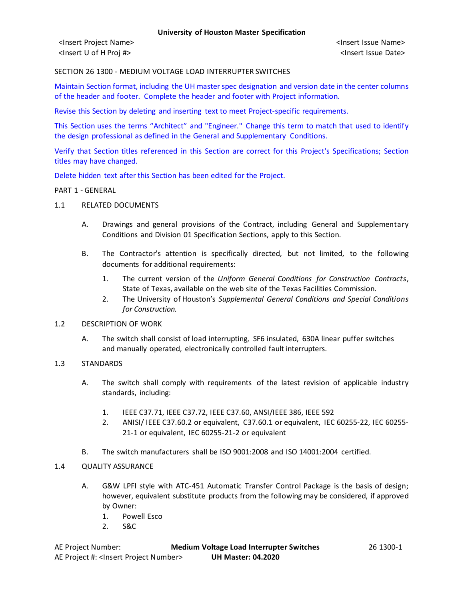SECTION 26 1300 - MEDIUM VOLTAGE LOAD INTERRUPTER SWITCHES

Maintain Section format, including the UH master spec designation and version date in the center columns of the header and footer. Complete the header and footer with Project information.

Revise this Section by deleting and inserting text to meet Project-specific requirements.

This Section uses the terms "Architect" and "Engineer." Change this term to match that used to identify the design professional as defined in the General and Supplementary Conditions.

Verify that Section titles referenced in this Section are correct for this Project's Specifications; Section titles may have changed.

Delete hidden text after this Section has been edited for the Project.

#### PART 1 - GENERAL

- 1.1 RELATED DOCUMENTS
	- A. Drawings and general provisions of the Contract, including General and Supplementary Conditions and Division 01 Specification Sections, apply to this Section.
	- B. The Contractor's attention is specifically directed, but not limited, to the following documents for additional requirements:
		- 1. The current version of the *Uniform General Conditions for Construction Contracts*, State of Texas, available on the web site of the Texas Facilities Commission.
		- 2. The University of Houston's *Supplemental General Conditions and Special Conditions for Construction.*
- 1.2 DESCRIPTION OF WORK
	- A. The switch shall consist of load interrupting, SF6 insulated, 630A linear puffer switches and manually operated, electronically controlled fault interrupters.
- 1.3 STANDARDS
	- A. The switch shall comply with requirements of the latest revision of applicable industry standards, including:
		- 1. IEEE C37.71, IEEE C37.72, IEEE C37.60, ANSI/IEEE 386, IEEE 592
		- 2. ANISI/ IEEE C37.60.2 or equivalent, C37.60.1 or equivalent, IEC 60255-22, IEC 60255- 21-1 or equivalent, IEC 60255-21-2 or equivalent
	- B. The switch manufacturers shall be ISO 9001:2008 and ISO 14001:2004 certified.

# 1.4 QUALITY ASSURANCE

- A. G&W LPFI style with ATC-451 Automatic Transfer Control Package is the basis of design; however, equivalent substitute products from the following may be considered, if approved by Owner:
	- 1. Powell Esco
	- 2. S&C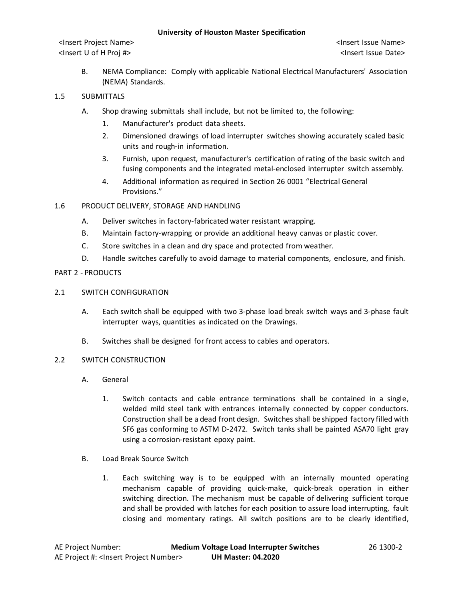<Insert Project Name> <Insert Issue Name> <Insert U of H Proj #> <Insert Issue Date>

B. NEMA Compliance: Comply with applicable National Electrical Manufacturers' Association (NEMA) Standards.

# 1.5 SUBMITTALS

- A. Shop drawing submittals shall include, but not be limited to, the following:
	- 1. Manufacturer's product data sheets.
	- 2. Dimensioned drawings of load interrupter switches showing accurately scaled basic units and rough-in information.
	- 3. Furnish, upon request, manufacturer's certification of rating of the basic switch and fusing components and the integrated metal-enclosed interrupter switch assembly.
	- 4. Additional information as required in Section 26 0001 "Electrical General Provisions."

# 1.6 PRODUCT DELIVERY, STORAGE AND HANDLING

- A. Deliver switches in factory-fabricated water resistant wrapping.
- B. Maintain factory-wrapping or provide an additional heavy canvas or plastic cover.
- C. Store switches in a clean and dry space and protected from weather.
- D. Handle switches carefully to avoid damage to material components, enclosure, and finish.

# PART 2 - PRODUCTS

- 2.1 SWITCH CONFIGURATION
	- A. Each switch shall be equipped with two 3-phase load break switch ways and 3-phase fault interrupter ways, quantities as indicated on the Drawings.
	- B. Switches shall be designed for front access to cables and operators.
- 2.2 SWITCH CONSTRUCTION
	- A. General
		- 1. Switch contacts and cable entrance terminations shall be contained in a single, welded mild steel tank with entrances internally connected by copper conductors. Construction shall be a dead front design. Switches shall be shipped factory filled with SF6 gas conforming to ASTM D-2472. Switch tanks shall be painted ASA70 light gray using a corrosion-resistant epoxy paint.
	- B. Load Break Source Switch
		- 1. Each switching way is to be equipped with an internally mounted operating mechanism capable of providing quick-make, quick-break operation in either switching direction. The mechanism must be capable of delivering sufficient torque and shall be provided with latches for each position to assure load interrupting, fault closing and momentary ratings. All switch positions are to be clearly identified,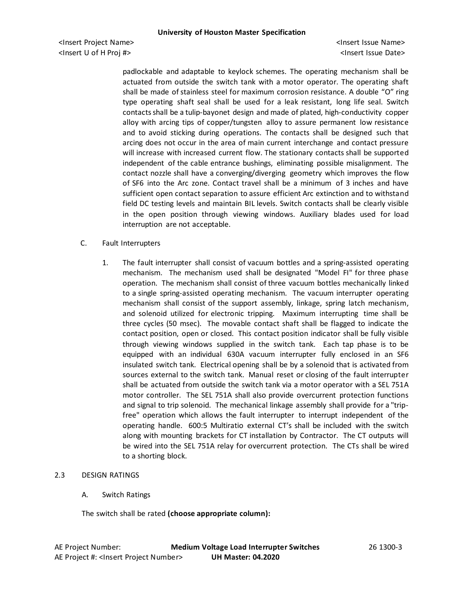padlockable and adaptable to keylock schemes. The operating mechanism shall be actuated from outside the switch tank with a motor operator. The operating shaft shall be made of stainless steel for maximum corrosion resistance. A double "O" ring type operating shaft seal shall be used for a leak resistant, long life seal. Switch contacts shall be a tulip-bayonet design and made of plated, high-conductivity copper alloy with arcing tips of copper/tungsten alloy to assure permanent low resistance and to avoid sticking during operations. The contacts shall be designed such that arcing does not occur in the area of main current interchange and contact pressure will increase with increased current flow. The stationary contacts shall be supported independent of the cable entrance bushings, eliminating possible misalignment. The contact nozzle shall have a converging/diverging geometry which improves the flow of SF6 into the Arc zone. Contact travel shall be a minimum of 3 inches and have sufficient open contact separation to assure efficient Arc extinction and to withstand field DC testing levels and maintain BIL levels. Switch contacts shall be clearly visible in the open position through viewing windows. Auxiliary blades used for load interruption are not acceptable.

### C. Fault Interrupters

1. The fault interrupter shall consist of vacuum bottles and a spring-assisted operating mechanism. The mechanism used shall be designated "Model FI" for three phase operation. The mechanism shall consist of three vacuum bottles mechanically linked to a single spring-assisted operating mechanism. The vacuum interrupter operating mechanism shall consist of the support assembly, linkage, spring latch mechanism, and solenoid utilized for electronic tripping. Maximum interrupting time shall be three cycles (50 msec). The movable contact shaft shall be flagged to indicate the contact position, open or closed. This contact position indicator shall be fully visible through viewing windows supplied in the switch tank. Each tap phase is to be equipped with an individual 630A vacuum interrupter fully enclosed in an SF6 insulated switch tank. Electrical opening shall be by a solenoid that is activated from sources external to the switch tank. Manual reset or closing of the fault interrupter shall be actuated from outside the switch tank via a motor operator with a SEL 751A motor controller. The SEL 751A shall also provide overcurrent protection functions and signal to trip solenoid. The mechanical linkage assembly shall provide for a "tripfree" operation which allows the fault interrupter to interrupt independent of the operating handle. 600:5 Multiratio external CT's shall be included with the switch along with mounting brackets for CT installation by Contractor. The CT outputs will be wired into the SEL 751A relay for overcurrent protection. The CTs shall be wired to a shorting block.

### 2.3 DESIGN RATINGS

A. Switch Ratings

The switch shall be rated **(choose appropriate column):**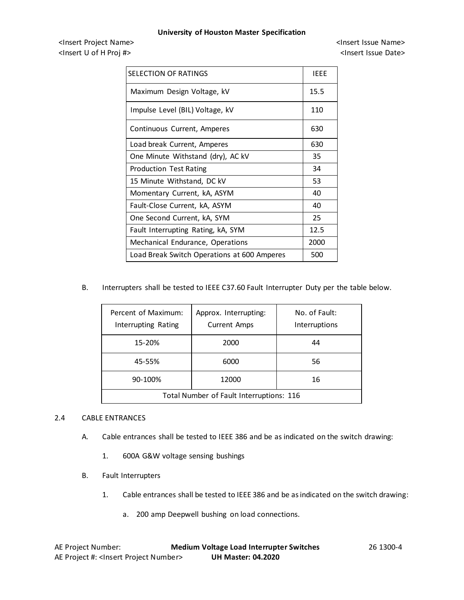<Insert Project Name> <Insert Issue Name> <Insert U of H Proj #> <Insert Issue Date>

| SELECTION OF RATINGS                        | IEEE |
|---------------------------------------------|------|
| Maximum Design Voltage, kV                  | 15.5 |
| Impulse Level (BIL) Voltage, kV             | 110  |
| Continuous Current, Amperes                 | 630  |
| Load break Current, Amperes                 | 630  |
| One Minute Withstand (dry), AC kV           | 35   |
| <b>Production Test Rating</b>               | 34   |
| 15 Minute Withstand, DC kV                  | 53   |
| Momentary Current, kA, ASYM                 | 40   |
| Fault-Close Current, kA, ASYM               | 40   |
| One Second Current, kA, SYM                 | 25   |
| Fault Interrupting Rating, kA, SYM          | 12.5 |
| Mechanical Endurance, Operations            | 2000 |
| Load Break Switch Operations at 600 Amperes | 500  |

B. Interrupters shall be tested to IEEE C37.60 Fault Interrupter Duty per the table below.

| Percent of Maximum:<br>Interrupting Rating | Approx. Interrupting:<br><b>Current Amps</b> | No. of Fault:<br>Interruptions |  |
|--------------------------------------------|----------------------------------------------|--------------------------------|--|
| 15-20%                                     | 2000                                         | 44                             |  |
| 45-55%                                     | 6000                                         | 56                             |  |
| 90-100%                                    | 12000                                        | 16                             |  |
| Total Number of Fault Interruptions: 116   |                                              |                                |  |

# 2.4 CABLE ENTRANCES

- A. Cable entrances shall be tested to IEEE 386 and be as indicated on the switch drawing:
	- 1. 600A G&W voltage sensing bushings
- B. Fault Interrupters
	- 1. Cable entrances shall be tested to IEEE 386 and be as indicated on the switch drawing:
		- a. 200 amp Deepwell bushing on load connections.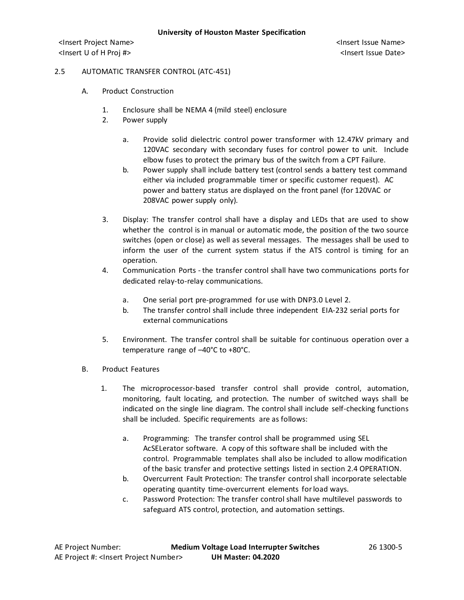# 2.5 AUTOMATIC TRANSFER CONTROL (ATC-451)

- A. Product Construction
	- 1. Enclosure shall be NEMA 4 (mild steel) enclosure
	- 2. Power supply
		- a. Provide solid dielectric control power transformer with 12.47kV primary and 120VAC secondary with secondary fuses for control power to unit. Include elbow fuses to protect the primary bus of the switch from a CPT Failure.
		- b. Power supply shall include battery test (control sends a battery test command either via included programmable timer or specific customer request). AC power and battery status are displayed on the front panel (for 120VAC or 208VAC power supply only).
	- 3. Display: The transfer control shall have a display and LEDs that are used to show whether the control is in manual or automatic mode, the position of the two source switches (open or close) as well as several messages. The messages shall be used to inform the user of the current system status if the ATS control is timing for an operation.
	- 4. Communication Ports the transfer control shall have two communications ports for dedicated relay-to-relay communications.
		- a. One serial port pre-programmed for use with DNP3.0 Level 2.
		- b. The transfer control shall include three independent EIA-232 serial ports for external communications
	- 5. Environment. The transfer control shall be suitable for continuous operation over a temperature range of –40°C to +80°C.
- B. Product Features
	- 1. The microprocessor-based transfer control shall provide control, automation, monitoring, fault locating, and protection. The number of switched ways shall be indicated on the single line diagram. The control shall include self-checking functions shall be included. Specific requirements are as follows:
		- a. Programming: The transfer control shall be programmed using SEL AcSELerator software. A copy of this software shall be included with the control. Programmable templates shall also be included to allow modification of the basic transfer and protective settings listed in section 2.4 OPERATION.
		- b. Overcurrent Fault Protection: The transfer control shall incorporate selectable operating quantity time-overcurrent elements for load ways.
		- c. Password Protection: The transfer control shall have multilevel passwords to safeguard ATS control, protection, and automation settings.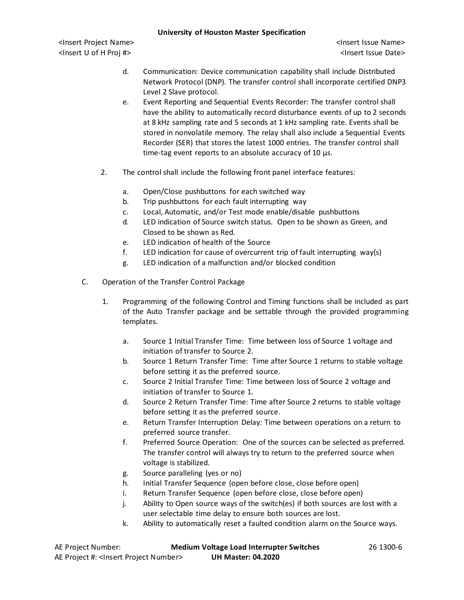<Insert Project Name> <Insert Issue Name> <Insert U of H Proj #> <Insert Issue Date>

- d. Communication: Device communication capability shall include Distributed Network Protocol (DNP). The transfer control shall incorporate certified DNP3 Level 2 Slave protocol.
- e. Event Reporting and Sequential Events Recorder: The transfer control shall have the ability to automatically record disturbance events of up to 2 seconds at 8 kHz sampling rate and 5 seconds at 1 kHz sampling rate. Events shall be stored in nonvolatile memory. The relay shall also include a Sequential Events Recorder (SER) that stores the latest 1000 entries. The transfer control shall time-tag event reports to an absolute accuracy of 10 µs.
- 2. The control shall include the following front panel interface features:
	- a. Open/Close pushbuttons for each switched way
	- b. Trip pushbuttons for each fault interrupting way
	- c. Local, Automatic, and/or Test mode enable/disable pushbuttons
	- d. LED indication of Source switch status. Open to be shown as Green, and Closed to be shown as Red.
	- e. LED indication of health of the Source
	- f. LED indication for cause of overcurrent trip of fault interrupting way(s)
	- g. LED indication of a malfunction and/or blocked condition
- C. Operation of the Transfer Control Package
	- 1. Programming of the following Control and Timing functions shall be included as part of the Auto Transfer package and be settable through the provided programming templates.
		- a. Source 1 Initial Transfer Time: Time between loss of Source 1 voltage and initiation of transfer to Source 2.
		- b. Source 1 Return Transfer Time: Time after Source 1 returns to stable voltage before setting it as the preferred source.
		- c. Source 2 Initial Transfer Time: Time between loss of Source 2 voltage and initiation of transfer to Source 1.
		- d. Source 2 Return Transfer Time: Time after Source 2 returns to stable voltage before setting it as the preferred source.
		- e. Return Transfer Interruption Delay: Time between operations on a return to preferred source transfer.
		- f. Preferred Source Operation: One of the sources can be selected as preferred. The transfer control will always try to return to the preferred source when voltage is stabilized.
		- g. Source paralleling (yes or no)
		- h. Initial Transfer Sequence (open before close, close before open)
		- i. Return Transfer Sequence (open before close, close before open)
		- j. Ability to Open source ways of the switch(es) if both sources are lost with a user selectable time delay to ensure both sources are lost.
		- k. Ability to automatically reset a faulted condition alarm on the Source ways.

| AE Project Number:                                   | <b>Medium Voltage Load Interrupter Switches</b> | 26 1300-6 |
|------------------------------------------------------|-------------------------------------------------|-----------|
| AE Project #: <lnsert number="" project=""></lnsert> | <b>UH Master: 04.2020</b>                       |           |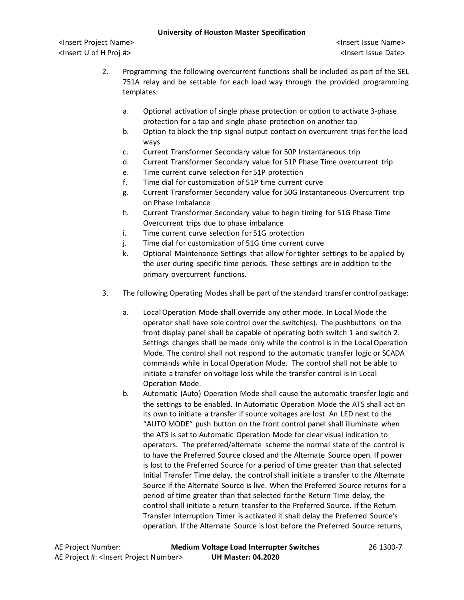<Insert Project Name> <Insert Issue Name> <Insert U of H Proj #> <Insert Issue Date>

- 2. Programming the following overcurrent functions shall be included as part of the SEL 751A relay and be settable for each load way through the provided programming templates:
	- a. Optional activation of single phase protection or option to activate 3-phase protection for a tap and single phase protection on another tap
	- b. Option to block the trip signal output contact on overcurrent trips for the load ways
	- c. Current Transformer Secondary value for 50P Instantaneous trip
	- d. Current Transformer Secondary value for 51P Phase Time overcurrent trip
	- e. Time current curve selection for 51P protection
	- f. Time dial for customization of 51P time current curve
	- g. Current Transformer Secondary value for 50G Instantaneous Overcurrent trip on Phase Imbalance
	- h. Current Transformer Secondary value to begin timing for 51G Phase Time Overcurrent trips due to phase imbalance
	- i. Time current curve selection for 51G protection
	- j. Time dial for customization of 51G time current curve
	- k. Optional Maintenance Settings that allow for tighter settings to be applied by the user during specific time periods. These settings are in addition to the primary overcurrent functions.
- 3. The following Operating Modes shall be part of the standard transfer control package:
	- a. Local Operation Mode shall override any other mode. In Local Mode the operator shall have sole control over the switch(es). The pushbuttons on the front display panel shall be capable of operating both switch 1 and switch 2. Settings changes shall be made only while the control is in the Local Operation Mode. The control shall not respond to the automatic transfer logic or SCADA commands while in Local Operation Mode. The control shall not be able to initiate a transfer on voltage loss while the transfer control is in Local Operation Mode.
	- b. Automatic (Auto) Operation Mode shall cause the automatic transfer logic and the settings to be enabled. In Automatic Operation Mode the ATS shall act on its own to initiate a transfer if source voltages are lost. An LED next to the "AUTO MODE" push button on the front control panel shall illuminate when the ATS is set to Automatic Operation Mode for clear visual indication to operators. The preferred/alternate scheme the normal state of the control is to have the Preferred Source closed and the Alternate Source open. If power is lost to the Preferred Source for a period of time greater than that selected Initial Transfer Time delay, the control shall initiate a transfer to the Alternate Source if the Alternate Source is live. When the Preferred Source returns for a period of time greater than that selected for the Return Time delay, the control shall initiate a return transfer to the Preferred Source. If the Return Transfer Interruption Timer is activated it shall delay the Preferred Source's operation. If the Alternate Source is lost before the Preferred Source returns,

AE Project Number: **Medium Voltage Load Interrupter Switches** 26 1300-7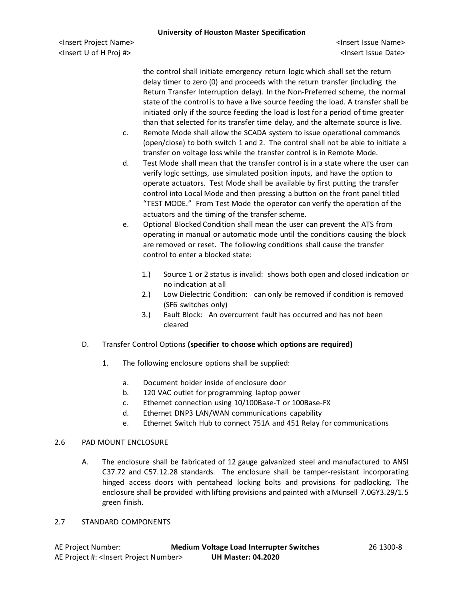<Insert Project Name> <Insert Issue Name> <Insert U of H Proj #> <Insert Issue Date>

the control shall initiate emergency return logic which shall set the return delay timer to zero (0) and proceeds with the return transfer (including the Return Transfer Interruption delay). In the Non-Preferred scheme, the normal state of the control is to have a live source feeding the load. A transfer shall be initiated only if the source feeding the load is lost for a period of time greater than that selected for its transfer time delay, and the alternate source is live.

- c. Remote Mode shall allow the SCADA system to issue operational commands (open/close) to both switch 1 and 2. The control shall not be able to initiate a transfer on voltage loss while the transfer control is in Remote Mode.
- d. Test Mode shall mean that the transfer control is in a state where the user can verify logic settings, use simulated position inputs, and have the option to operate actuators. Test Mode shall be available by first putting the transfer control into Local Mode and then pressing a button on the front panel titled "TEST MODE." From Test Mode the operator can verify the operation of the actuators and the timing of the transfer scheme.
- e. Optional Blocked Condition shall mean the user can prevent the ATS from operating in manual or automatic mode until the conditions causing the block are removed or reset. The following conditions shall cause the transfer control to enter a blocked state:
	- 1.) Source 1 or 2 status is invalid: shows both open and closed indication or no indication at all
	- 2.) Low Dielectric Condition: can only be removed if condition is removed (SF6 switches only)
	- 3.) Fault Block: An overcurrent fault has occurred and has not been cleared
- D. Transfer Control Options **(specifier to choose which options are required)**
	- 1. The following enclosure options shall be supplied:
		- a. Document holder inside of enclosure door
		- b. 120 VAC outlet for programming laptop power
		- c. Ethernet connection using 10/100Base-T or 100Base-FX
		- d. Ethernet DNP3 LAN/WAN communications capability
		- e. Ethernet Switch Hub to connect 751A and 451 Relay for communications

### 2.6 PAD MOUNT ENCLOSURE

- A. The enclosure shall be fabricated of 12 gauge galvanized steel and manufactured to ANSI C37.72 and C57.12.28 standards. The enclosure shall be tamper-resistant incorporating hinged access doors with pentahead locking bolts and provisions for padlocking. The enclosure shall be provided with lifting provisions and painted with a Munsell 7.0GY3.29/1.5 green finish.
- 2.7 STANDARD COMPONENTS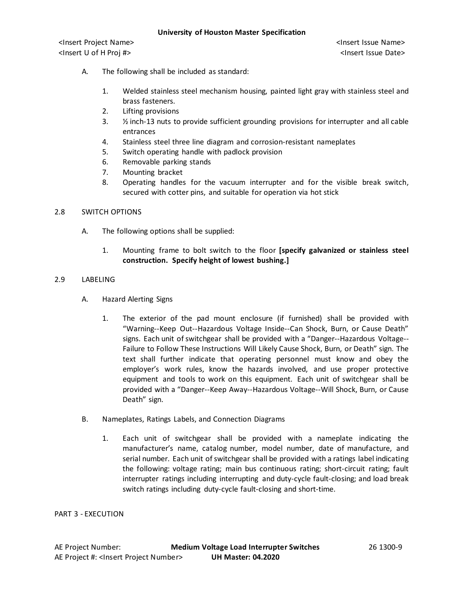- A. The following shall be included as standard:
	- 1. Welded stainless steel mechanism housing, painted light gray with stainless steel and brass fasteners.
	- 2. Lifting provisions
	- 3. ½ inch-13 nuts to provide sufficient grounding provisions for interrupter and all cable entrances
	- 4. Stainless steel three line diagram and corrosion-resistant nameplates
	- 5. Switch operating handle with padlock provision
	- 6. Removable parking stands
	- 7. Mounting bracket
	- 8. Operating handles for the vacuum interrupter and for the visible break switch, secured with cotter pins, and suitable for operation via hot stick

### 2.8 SWITCH OPTIONS

- A. The following options shall be supplied:
	- 1. Mounting frame to bolt switch to the floor **[specify galvanized or stainless steel construction. Specify height of lowest bushing.]**

#### 2.9 LABELING

- A. Hazard Alerting Signs
	- 1. The exterior of the pad mount enclosure (if furnished) shall be provided with "Warning--Keep Out--Hazardous Voltage Inside--Can Shock, Burn, or Cause Death" signs. Each unit of switchgear shall be provided with a "Danger--Hazardous Voltage-- Failure to Follow These Instructions Will Likely Cause Shock, Burn, or Death" sign. The text shall further indicate that operating personnel must know and obey the employer's work rules, know the hazards involved, and use proper protective equipment and tools to work on this equipment. Each unit of switchgear shall be provided with a "Danger--Keep Away--Hazardous Voltage--Will Shock, Burn, or Cause Death" sign.
- B. Nameplates, Ratings Labels, and Connection Diagrams
	- 1. Each unit of switchgear shall be provided with a nameplate indicating the manufacturer's name, catalog number, model number, date of manufacture, and serial number. Each unit of switchgear shall be provided with a ratings label indicating the following: voltage rating; main bus continuous rating; short-circuit rating; fault interrupter ratings including interrupting and duty-cycle fault-closing; and load break switch ratings including duty-cycle fault-closing and short-time.

PART 3 - EXECUTION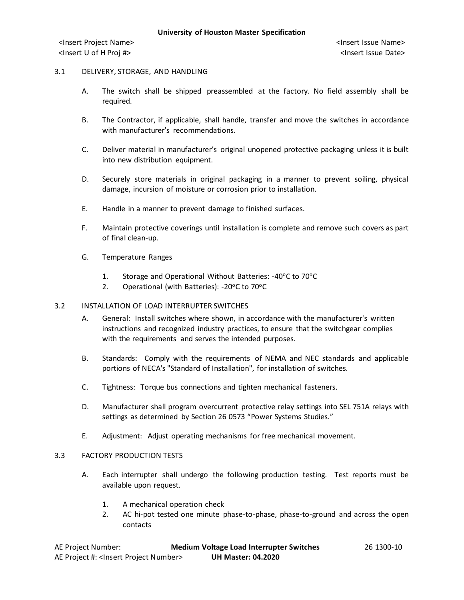### 3.1 DELIVERY, STORAGE, AND HANDLING

- A. The switch shall be shipped preassembled at the factory. No field assembly shall be required.
- B. The Contractor, if applicable, shall handle, transfer and move the switches in accordance with manufacturer's recommendations.
- C. Deliver material in manufacturer's original unopened protective packaging unless it is built into new distribution equipment.
- D. Securely store materials in original packaging in a manner to prevent soiling, physical damage, incursion of moisture or corrosion prior to installation.
- E. Handle in a manner to prevent damage to finished surfaces.
- F. Maintain protective coverings until installation is complete and remove such covers as part of final clean-up.
- G. Temperature Ranges
	- 1. Storage and Operational Without Batteries:  $-40^{\circ}$ C to  $70^{\circ}$ C
	- 2. Operational (with Batteries): -20°C to 70°C

### 3.2 INSTALLATION OF LOAD INTERRUPTER SWITCHES

- A. General: Install switches where shown, in accordance with the manufacturer's written instructions and recognized industry practices, to ensure that the switchgear complies with the requirements and serves the intended purposes.
- B. Standards: Comply with the requirements of NEMA and NEC standards and applicable portions of NECA's "Standard of Installation", for installation of switches.
- C. Tightness: Torque bus connections and tighten mechanical fasteners.
- D. Manufacturer shall program overcurrent protective relay settings into SEL 751A relays with settings as determined by Section 26 0573 "Power Systems Studies."
- E. Adjustment: Adjust operating mechanisms for free mechanical movement.

### 3.3 FACTORY PRODUCTION TESTS

- A. Each interrupter shall undergo the following production testing. Test reports must be available upon request.
	- 1. A mechanical operation check
	- 2. AC hi-pot tested one minute phase-to-phase, phase-to-ground and across the open contacts